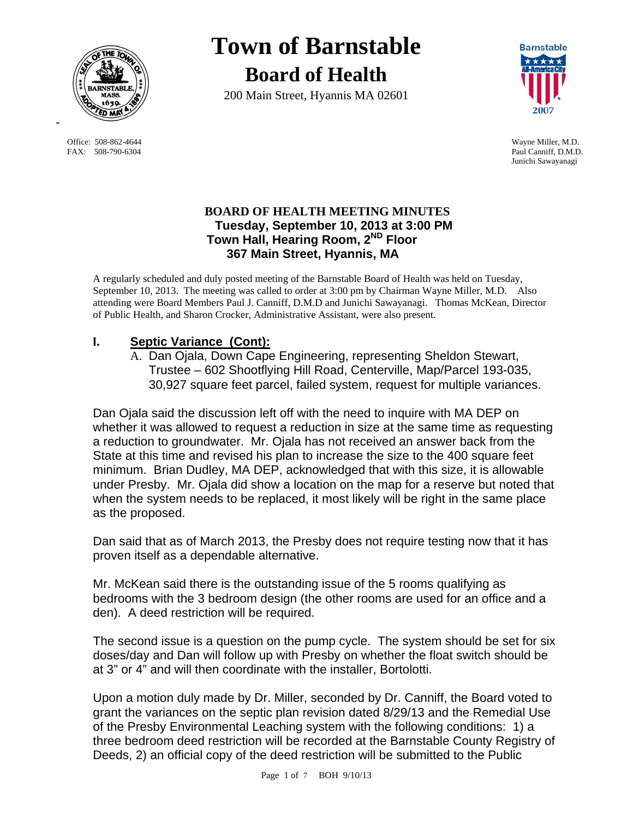

 Office: 508-862-4644 Wayne Miller, M.D. FAX: 508-790-6304 Paul Canniff, D.M.D.

# **Town of Barnstable Board of Health**

200 Main Street, Hyannis MA 02601



Junichi Sawayanagi

#### **BOARD OF HEALTH MEETING MINUTES Tuesday, September 10, 2013 at 3:00 PM Town Hall, Hearing Room, 2ND Floor 367 Main Street, Hyannis, MA**

A regularly scheduled and duly posted meeting of the Barnstable Board of Health was held on Tuesday, September 10, 2013. The meeting was called to order at 3:00 pm by Chairman Wayne Miller, M.D. Also attending were Board Members Paul J. Canniff, D.M.D and Junichi Sawayanagi. Thomas McKean, Director of Public Health, and Sharon Crocker, Administrative Assistant, were also present.

# **I. Septic Variance (Cont):**

A. Dan Ojala, Down Cape Engineering, representing Sheldon Stewart, Trustee – 602 Shootflying Hill Road, Centerville, Map/Parcel 193-035, 30,927 square feet parcel, failed system, request for multiple variances.

Dan Ojala said the discussion left off with the need to inquire with MA DEP on whether it was allowed to request a reduction in size at the same time as requesting a reduction to groundwater. Mr. Ojala has not received an answer back from the State at this time and revised his plan to increase the size to the 400 square feet minimum. Brian Dudley, MA DEP, acknowledged that with this size, it is allowable under Presby. Mr. Ojala did show a location on the map for a reserve but noted that when the system needs to be replaced, it most likely will be right in the same place as the proposed.

Dan said that as of March 2013, the Presby does not require testing now that it has proven itself as a dependable alternative.

Mr. McKean said there is the outstanding issue of the 5 rooms qualifying as bedrooms with the 3 bedroom design (the other rooms are used for an office and a den). A deed restriction will be required.

The second issue is a question on the pump cycle. The system should be set for six doses/day and Dan will follow up with Presby on whether the float switch should be at 3" or 4" and will then coordinate with the installer, Bortolotti.

Upon a motion duly made by Dr. Miller, seconded by Dr. Canniff, the Board voted to grant the variances on the septic plan revision dated 8/29/13 and the Remedial Use of the Presby Environmental Leaching system with the following conditions: 1) a three bedroom deed restriction will be recorded at the Barnstable County Registry of Deeds, 2) an official copy of the deed restriction will be submitted to the Public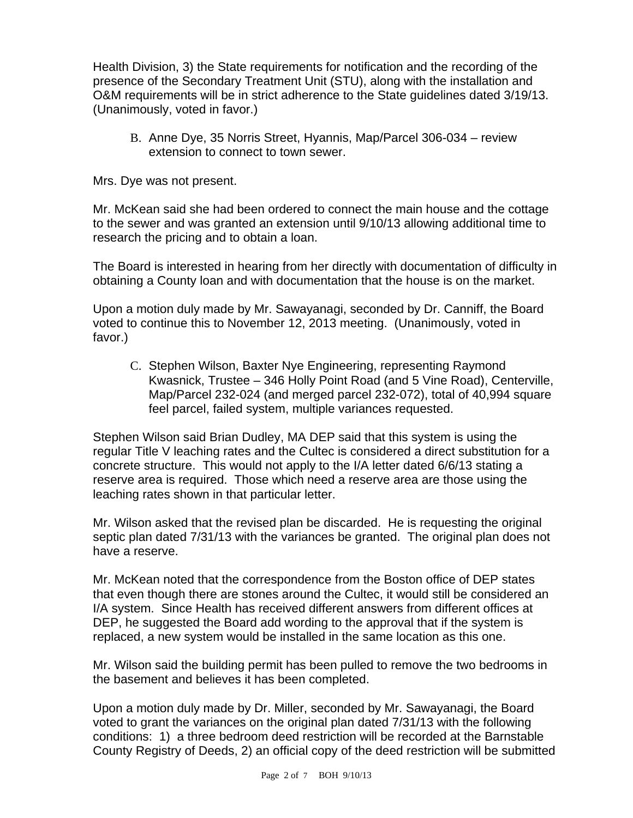Health Division, 3) the State requirements for notification and the recording of the presence of the Secondary Treatment Unit (STU), along with the installation and O&M requirements will be in strict adherence to the State guidelines dated 3/19/13. (Unanimously, voted in favor.)

B. Anne Dye, 35 Norris Street, Hyannis, Map/Parcel 306-034 – review extension to connect to town sewer.

Mrs. Dye was not present.

Mr. McKean said she had been ordered to connect the main house and the cottage to the sewer and was granted an extension until 9/10/13 allowing additional time to research the pricing and to obtain a loan.

The Board is interested in hearing from her directly with documentation of difficulty in obtaining a County loan and with documentation that the house is on the market.

Upon a motion duly made by Mr. Sawayanagi, seconded by Dr. Canniff, the Board voted to continue this to November 12, 2013 meeting. (Unanimously, voted in favor.)

C. Stephen Wilson, Baxter Nye Engineering, representing Raymond Kwasnick, Trustee – 346 Holly Point Road (and 5 Vine Road), Centerville, Map/Parcel 232-024 (and merged parcel 232-072), total of 40,994 square feel parcel, failed system, multiple variances requested.

Stephen Wilson said Brian Dudley, MA DEP said that this system is using the regular Title V leaching rates and the Cultec is considered a direct substitution for a concrete structure. This would not apply to the I/A letter dated 6/6/13 stating a reserve area is required. Those which need a reserve area are those using the leaching rates shown in that particular letter.

Mr. Wilson asked that the revised plan be discarded. He is requesting the original septic plan dated 7/31/13 with the variances be granted. The original plan does not have a reserve.

Mr. McKean noted that the correspondence from the Boston office of DEP states that even though there are stones around the Cultec, it would still be considered an I/A system. Since Health has received different answers from different offices at DEP, he suggested the Board add wording to the approval that if the system is replaced, a new system would be installed in the same location as this one.

Mr. Wilson said the building permit has been pulled to remove the two bedrooms in the basement and believes it has been completed.

Upon a motion duly made by Dr. Miller, seconded by Mr. Sawayanagi, the Board voted to grant the variances on the original plan dated 7/31/13 with the following conditions: 1) a three bedroom deed restriction will be recorded at the Barnstable County Registry of Deeds, 2) an official copy of the deed restriction will be submitted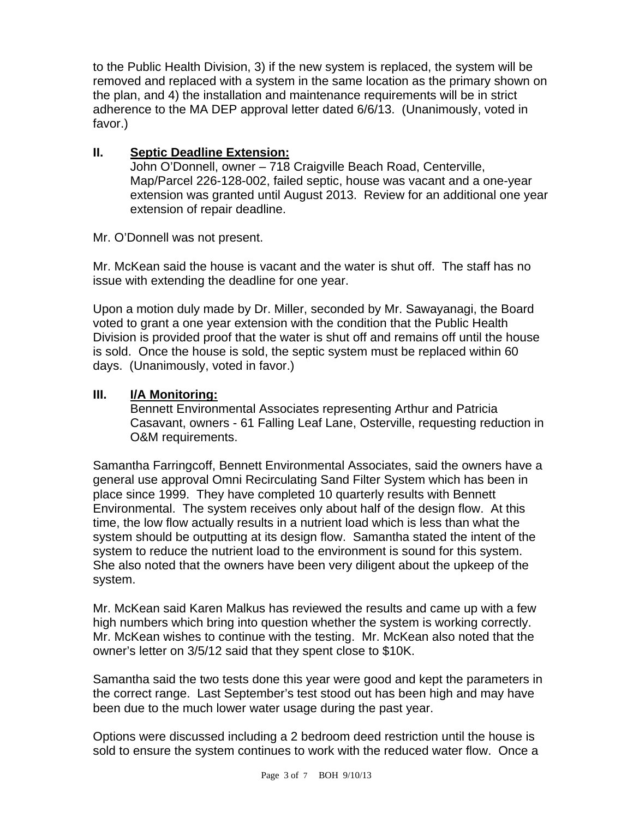to the Public Health Division, 3) if the new system is replaced, the system will be removed and replaced with a system in the same location as the primary shown on the plan, and 4) the installation and maintenance requirements will be in strict adherence to the MA DEP approval letter dated 6/6/13. (Unanimously, voted in favor.)

# **II. Septic Deadline Extension:**

John O'Donnell, owner – 718 Craigville Beach Road, Centerville, Map/Parcel 226-128-002, failed septic, house was vacant and a one-year extension was granted until August 2013. Review for an additional one year extension of repair deadline.

Mr. O'Donnell was not present.

Mr. McKean said the house is vacant and the water is shut off. The staff has no issue with extending the deadline for one year.

Upon a motion duly made by Dr. Miller, seconded by Mr. Sawayanagi, the Board voted to grant a one year extension with the condition that the Public Health Division is provided proof that the water is shut off and remains off until the house is sold. Once the house is sold, the septic system must be replaced within 60 days. (Unanimously, voted in favor.)

#### **III. I/A Monitoring:**

Bennett Environmental Associates representing Arthur and Patricia Casavant, owners - 61 Falling Leaf Lane, Osterville, requesting reduction in O&M requirements.

Samantha Farringcoff, Bennett Environmental Associates, said the owners have a general use approval Omni Recirculating Sand Filter System which has been in place since 1999. They have completed 10 quarterly results with Bennett Environmental. The system receives only about half of the design flow. At this time, the low flow actually results in a nutrient load which is less than what the system should be outputting at its design flow. Samantha stated the intent of the system to reduce the nutrient load to the environment is sound for this system. She also noted that the owners have been very diligent about the upkeep of the system.

Mr. McKean said Karen Malkus has reviewed the results and came up with a few high numbers which bring into question whether the system is working correctly. Mr. McKean wishes to continue with the testing. Mr. McKean also noted that the owner's letter on 3/5/12 said that they spent close to \$10K.

Samantha said the two tests done this year were good and kept the parameters in the correct range. Last September's test stood out has been high and may have been due to the much lower water usage during the past year.

Options were discussed including a 2 bedroom deed restriction until the house is sold to ensure the system continues to work with the reduced water flow. Once a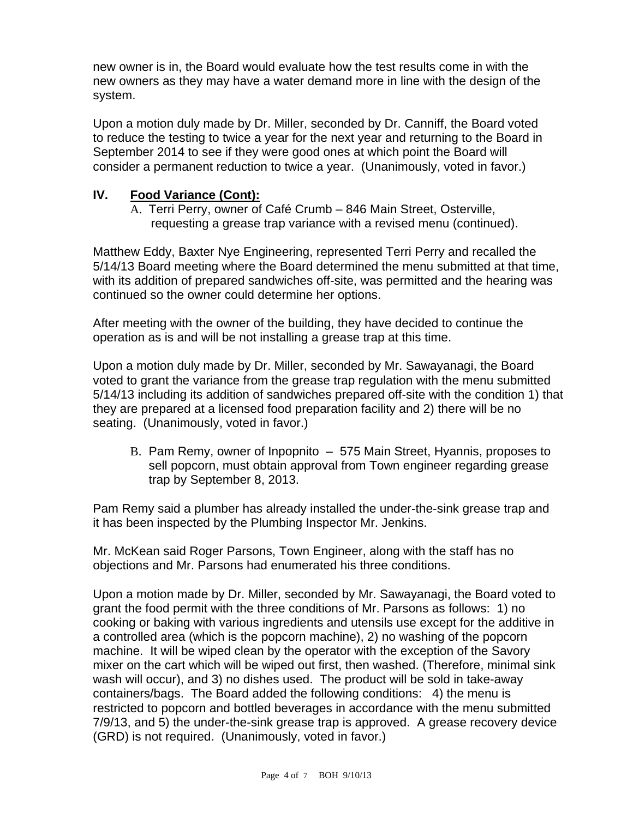new owner is in, the Board would evaluate how the test results come in with the new owners as they may have a water demand more in line with the design of the system.

Upon a motion duly made by Dr. Miller, seconded by Dr. Canniff, the Board voted to reduce the testing to twice a year for the next year and returning to the Board in September 2014 to see if they were good ones at which point the Board will consider a permanent reduction to twice a year. (Unanimously, voted in favor.)

### **IV. Food Variance (Cont):**

A. Terri Perry, owner of Café Crumb – 846 Main Street, Osterville, requesting a grease trap variance with a revised menu (continued).

Matthew Eddy, Baxter Nye Engineering, represented Terri Perry and recalled the 5/14/13 Board meeting where the Board determined the menu submitted at that time, with its addition of prepared sandwiches off-site, was permitted and the hearing was continued so the owner could determine her options.

After meeting with the owner of the building, they have decided to continue the operation as is and will be not installing a grease trap at this time.

Upon a motion duly made by Dr. Miller, seconded by Mr. Sawayanagi, the Board voted to grant the variance from the grease trap regulation with the menu submitted 5/14/13 including its addition of sandwiches prepared off-site with the condition 1) that they are prepared at a licensed food preparation facility and 2) there will be no seating. (Unanimously, voted in favor.)

B. Pam Remy, owner of Inpopnito – 575 Main Street, Hyannis, proposes to sell popcorn, must obtain approval from Town engineer regarding grease trap by September 8, 2013.

Pam Remy said a plumber has already installed the under-the-sink grease trap and it has been inspected by the Plumbing Inspector Mr. Jenkins.

Mr. McKean said Roger Parsons, Town Engineer, along with the staff has no objections and Mr. Parsons had enumerated his three conditions.

Upon a motion made by Dr. Miller, seconded by Mr. Sawayanagi, the Board voted to grant the food permit with the three conditions of Mr. Parsons as follows: 1) no cooking or baking with various ingredients and utensils use except for the additive in a controlled area (which is the popcorn machine), 2) no washing of the popcorn machine. It will be wiped clean by the operator with the exception of the Savory mixer on the cart which will be wiped out first, then washed. (Therefore, minimal sink wash will occur), and 3) no dishes used. The product will be sold in take-away containers/bags. The Board added the following conditions: 4) the menu is restricted to popcorn and bottled beverages in accordance with the menu submitted 7/9/13, and 5) the under-the-sink grease trap is approved. A grease recovery device (GRD) is not required. (Unanimously, voted in favor.)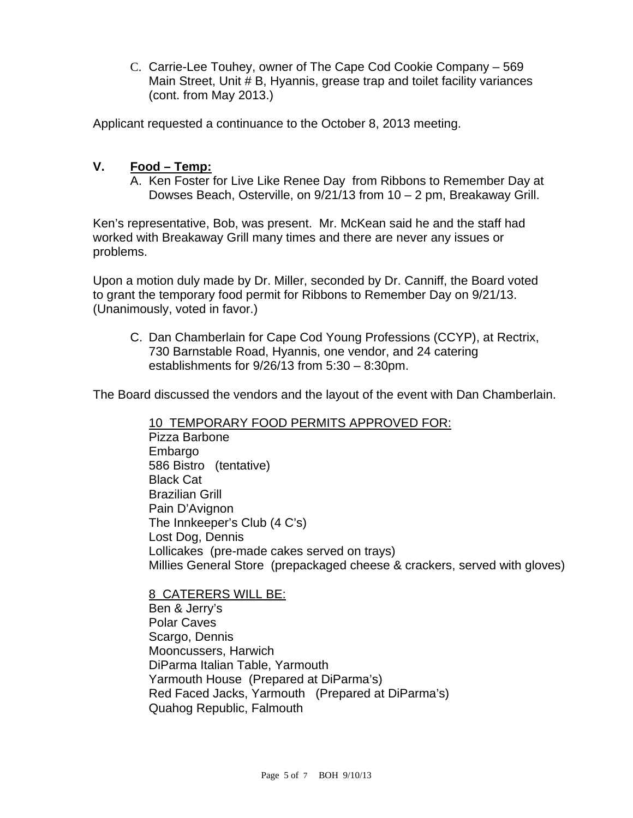C. Carrie-Lee Touhey, owner of The Cape Cod Cookie Company – 569 Main Street, Unit # B, Hyannis, grease trap and toilet facility variances (cont. from May 2013.)

Applicant requested a continuance to the October 8, 2013 meeting.

#### **V. Food – Temp:**

A. Ken Foster for Live Like Renee Day from Ribbons to Remember Day at Dowses Beach, Osterville, on 9/21/13 from 10 – 2 pm, Breakaway Grill.

Ken's representative, Bob, was present. Mr. McKean said he and the staff had worked with Breakaway Grill many times and there are never any issues or problems.

Upon a motion duly made by Dr. Miller, seconded by Dr. Canniff, the Board voted to grant the temporary food permit for Ribbons to Remember Day on 9/21/13. (Unanimously, voted in favor.)

C. Dan Chamberlain for Cape Cod Young Professions (CCYP), at Rectrix, 730 Barnstable Road, Hyannis, one vendor, and 24 catering establishments for 9/26/13 from 5:30 – 8:30pm.

The Board discussed the vendors and the layout of the event with Dan Chamberlain.

10 TEMPORARY FOOD PERMITS APPROVED FOR:

Pizza Barbone Embargo 586 Bistro (tentative) Black Cat Brazilian Grill Pain D'Avignon The Innkeeper's Club (4 C's) Lost Dog, Dennis Lollicakes (pre-made cakes served on trays) Millies General Store (prepackaged cheese & crackers, served with gloves)

8 CATERERS WILL BE: Ben & Jerry's Polar Caves Scargo, Dennis Mooncussers, Harwich DiParma Italian Table, Yarmouth Yarmouth House (Prepared at DiParma's) Red Faced Jacks, Yarmouth (Prepared at DiParma's) Quahog Republic, Falmouth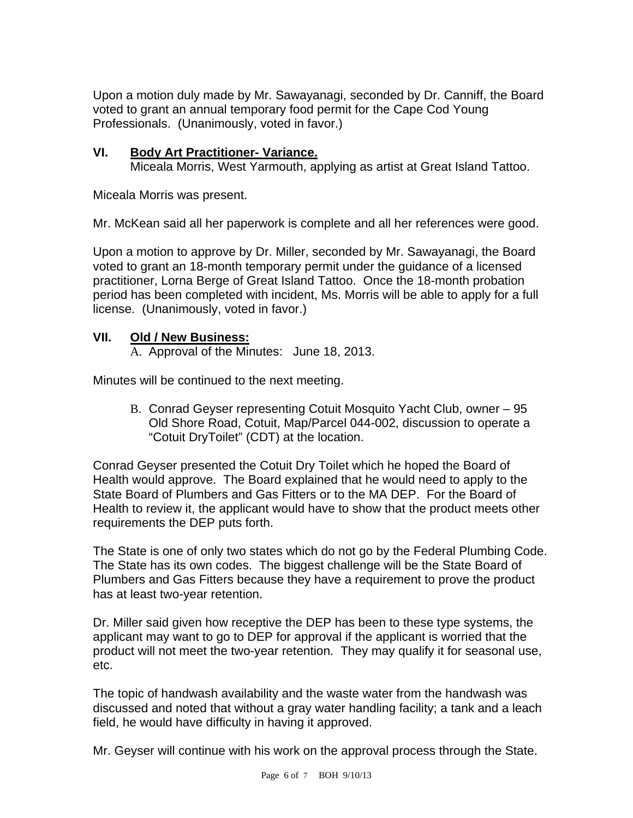Upon a motion duly made by Mr. Sawayanagi, seconded by Dr. Canniff, the Board voted to grant an annual temporary food permit for the Cape Cod Young Professionals. (Unanimously, voted in favor.)

# **VI. Body Art Practitioner- Variance.**

Miceala Morris, West Yarmouth, applying as artist at Great Island Tattoo.

Miceala Morris was present.

Mr. McKean said all her paperwork is complete and all her references were good.

Upon a motion to approve by Dr. Miller, seconded by Mr. Sawayanagi, the Board voted to grant an 18-month temporary permit under the guidance of a licensed practitioner, Lorna Berge of Great Island Tattoo. Once the 18-month probation period has been completed with incident, Ms. Morris will be able to apply for a full license. (Unanimously, voted in favor.)

#### **VII. Old / New Business:**

A. Approval of the Minutes: June 18, 2013.

Minutes will be continued to the next meeting.

B. Conrad Geyser representing Cotuit Mosquito Yacht Club, owner – 95 Old Shore Road, Cotuit, Map/Parcel 044-002, discussion to operate a "Cotuit DryToilet" (CDT) at the location.

Conrad Geyser presented the Cotuit Dry Toilet which he hoped the Board of Health would approve. The Board explained that he would need to apply to the State Board of Plumbers and Gas Fitters or to the MA DEP. For the Board of Health to review it, the applicant would have to show that the product meets other requirements the DEP puts forth.

The State is one of only two states which do not go by the Federal Plumbing Code. The State has its own codes. The biggest challenge will be the State Board of Plumbers and Gas Fitters because they have a requirement to prove the product has at least two-year retention.

Dr. Miller said given how receptive the DEP has been to these type systems, the applicant may want to go to DEP for approval if the applicant is worried that the product will not meet the two-year retention. They may qualify it for seasonal use, etc.

The topic of handwash availability and the waste water from the handwash was discussed and noted that without a gray water handling facility; a tank and a leach field, he would have difficulty in having it approved.

Mr. Geyser will continue with his work on the approval process through the State.